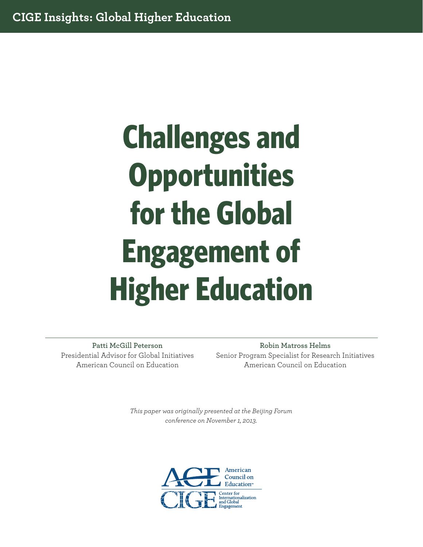# **Challenges and Opportunities for the Global Engagement of Higher Education**

**Patti McGill Peterson** Presidential Advisor for Global Initiatives American Council on Education

**Robin Matross Helms** Senior Program Specialist for Research Initiatives American Council on Education

*This paper was originally presented at the Beijing Forum conference on November 1, 2013.*

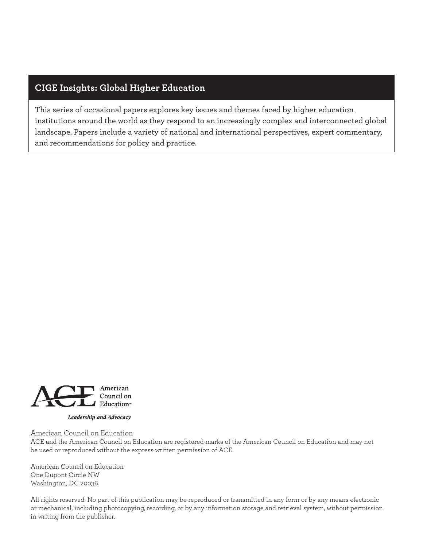# **CIGE Insights: Global Higher Education**

This series of occasional papers explores key issues and themes faced by higher education institutions around the world as they respond to an increasingly complex and interconnected global landscape. Papers include a variety of national and international perspectives, expert commentary, and recommendations for policy and practice.



Leadership and Advocacy

American Council on Education

ACE and the American Council on Education are registered marks of the American Council on Education and may not be used or reproduced without the express written permission of ACE.

American Council on Education One Dupont Circle NW Washington, DC 20036

All rights reserved. No part of this publication may be reproduced or transmitted in any form or by any means electronic or mechanical, including photocopying, recording, or by any information storage and retrieval system, without permission in writing from the publisher.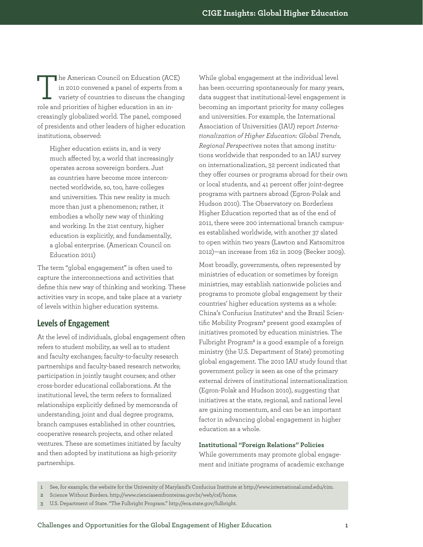The American Council on Education (ACE)<br>in 2010 convened a panel of experts from a<br>variety of countries to discuss the changin-<br>vale and minimize of higher education in an inin 2010 convened a panel of experts from a variety of countries to discuss the changing role and priorities of higher education in an increasingly globalized world. The panel, composed of presidents and other leaders of higher education institutions, observed:

Higher education exists in, and is very much affected by, a world that increasingly operates across sovereign borders. Just as countries have become more interconnected worldwide, so, too, have colleges and universities. This new reality is much more than just a phenomenon; rather, it embodies a wholly new way of thinking and working. In the 21st century, higher education is explicitly, and fundamentally, a global enterprise. (American Council on Education 2011)

The term "global engagement" is often used to capture the interconnections and activities that define this new way of thinking and working. These activities vary in scope, and take place at a variety of levels within higher education systems.

# **Levels of Engagement**

At the level of individuals, global engagement often refers to student mobility, as well as to student and faculty exchanges; faculty-to-faculty research partnerships and faculty-based research networks; participation in jointly taught courses; and other cross-border educational collaborations. At the institutional level, the term refers to formalized relationships explicitly defined by memoranda of understanding, joint and dual degree programs, branch campuses established in other countries, cooperative research projects, and other related ventures. These are sometimes initiated by faculty and then adopted by institutions as high-priority partnerships.

While global engagement at the individual level has been occurring spontaneously for many years, data suggest that institutional-level engagement is becoming an important priority for many colleges and universities. For example, the International Association of Universities (IAU) report *Internationalization of Higher Education: Global Trends, Regional Perspectives* notes that among institutions worldwide that responded to an IAU survey on internationalization, 32 percent indicated that they offer courses or programs abroad for their own or local students, and 41 percent offer joint-degree programs with partners abroad (Egron-Polak and Hudson 2010). The Observatory on Borderless Higher Education reported that as of the end of 2011, there were 200 international branch campuses established worldwide, with another 37 slated to open within two years (Lawton and Katsomitros 2012)—an increase from 162 in 2009 (Becker 2009).

Most broadly, governments, often represented by ministries of education or sometimes by foreign ministries, may establish nationwide policies and programs to promote global engagement by their countries' higher education systems as a whole: China's Confucius Institutes**<sup>1</sup>** and the Brazil Scientific Mobility Program<sup>2</sup> present good examples of initiatives promoted by education ministries. The Fulbright Program<sup>3</sup> is a good example of a foreign ministry (the U.S. Department of State) promoting global engagement. The 2010 IAU study found that government policy is seen as one of the primary external drivers of institutional internationalization (Egron-Polak and Hudson 2010), suggesting that initiatives at the state, regional, and national level are gaining momentum, and can be an important factor in advancing global engagement in higher education as a whole.

## **Institutional "Foreign Relations" Policies**

While governments may promote global engagement and initiate programs of academic exchange

**<sup>1</sup>** See, for example, the website for the University of Maryland's Confucius Institute at http://www.international.umd.edu/cim.

**<sup>2</sup>** Science Without Borders. http://www.cienciasemfronteiras.gov.br/web/csf/home.

**<sup>3</sup>** U.S. Department of State. "The Fulbright Program." http://eca.state.gov/fulbright.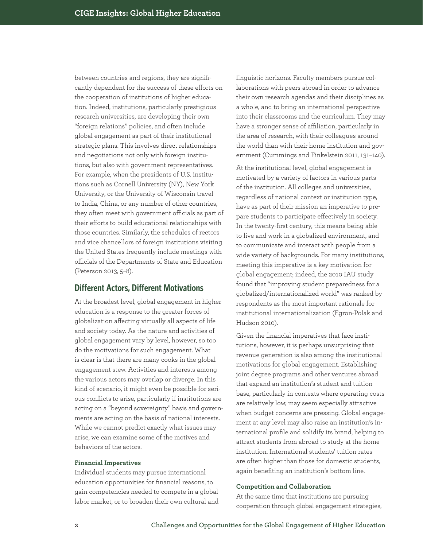between countries and regions, they are significantly dependent for the success of these efforts on the cooperation of institutions of higher education. Indeed, institutions, particularly prestigious research universities, are developing their own "foreign relations" policies, and often include global engagement as part of their institutional strategic plans. This involves direct relationships and negotiations not only with foreign institutions, but also with government representatives. For example, when the presidents of U.S. institutions such as Cornell University (NY), New York University, or the University of Wisconsin travel to India, China, or any number of other countries, they often meet with government officials as part of their efforts to build educational relationships with those countries. Similarly, the schedules of rectors and vice chancellors of foreign institutions visiting the United States frequently include meetings with officials of the Departments of State and Education (Peterson 2013, 5–8).

# **Different Actors, Different Motivations**

At the broadest level, global engagement in higher education is a response to the greater forces of globalization affecting virtually all aspects of life and society today. As the nature and activities of global engagement vary by level, however, so too do the motivations for such engagement. What is clear is that there are many cooks in the global engagement stew. Activities and interests among the various actors may overlap or diverge. In this kind of scenario, it might even be possible for serious conflicts to arise, particularly if institutions are acting on a "beyond sovereignty" basis and governments are acting on the basis of national interests. While we cannot predict exactly what issues may arise, we can examine some of the motives and behaviors of the actors.

# **Financial Imperatives**

Individual students may pursue international education opportunities for financial reasons, to gain competencies needed to compete in a global labor market, or to broaden their own cultural and linguistic horizons. Faculty members pursue collaborations with peers abroad in order to advance their own research agendas and their disciplines as a whole, and to bring an international perspective into their classrooms and the curriculum. They may have a stronger sense of affiliation, particularly in the area of research, with their colleagues around the world than with their home institution and government (Cummings and Finkelstein 2011, 131–140).

At the institutional level, global engagement is motivated by a variety of factors in various parts of the institution. All colleges and universities, regardless of national context or institution type, have as part of their mission an imperative to prepare students to participate effectively in society. In the twenty-first century, this means being able to live and work in a globalized environment, and to communicate and interact with people from a wide variety of backgrounds. For many institutions, meeting this imperative is a key motivation for global engagement; indeed, the 2010 IAU study found that "improving student preparedness for a globalized/internationalized world" was ranked by respondents as the most important rationale for institutional internationalization (Egron-Polak and Hudson 2010).

Given the financial imperatives that face institutions, however, it is perhaps unsurprising that revenue generation is also among the institutional motivations for global engagement. Establishing joint degree programs and other ventures abroad that expand an institution's student and tuition base, particularly in contexts where operating costs are relatively low, may seem especially attractive when budget concerns are pressing. Global engagement at any level may also raise an institution's international profile and solidify its brand, helping to attract students from abroad to study at the home institution. International students' tuition rates are often higher than those for domestic students, again benefiting an institution's bottom line.

### **Competition and Collaboration**

At the same time that institutions are pursuing cooperation through global engagement strategies,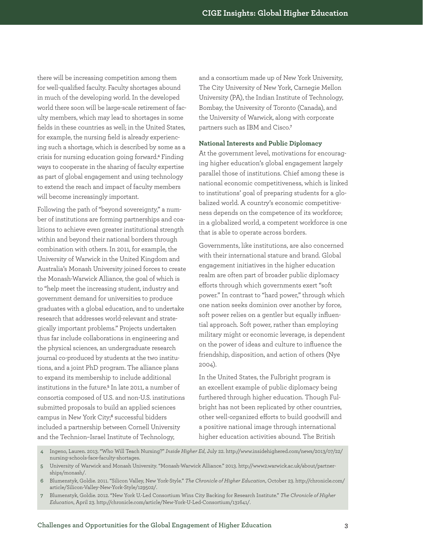there will be increasing competition among them for well-qualified faculty. Faculty shortages abound in much of the developing world. In the developed world there soon will be large-scale retirement of faculty members, which may lead to shortages in some fields in these countries as well; in the United States, for example, the nursing field is already experiencing such a shortage, which is described by some as a crisis for nursing education going forward.**<sup>4</sup>** Finding ways to cooperate in the sharing of faculty expertise as part of global engagement and using technology to extend the reach and impact of faculty members will become increasingly important.

Following the path of "beyond sovereignty," a number of institutions are forming partnerships and coalitions to achieve even greater institutional strength within and beyond their national borders through combination with others. In 2011, for example, the University of Warwick in the United Kingdom and Australia's Monash University joined forces to create the Monash-Warwick Alliance, the goal of which is to "help meet the increasing student, industry and government demand for universities to produce graduates with a global education, and to undertake research that addresses world-relevant and strategically important problems." Projects undertaken thus far include collaborations in engineering and the physical sciences, an undergraduate research journal co-produced by students at the two institutions, and a joint PhD program. The alliance plans to expand its membership to include additional institutions in the future.**<sup>5</sup>** In late 2011, a number of consortia composed of U.S. and non-U.S. institutions submitted proposals to build an applied sciences campus in New York City;**<sup>6</sup>** successful bidders included a partnership between Cornell University and the Technion–Israel Institute of Technology,

and a consortium made up of New York University, The City University of New York, Carnegie Mellon University (PA), the Indian Institute of Technology, Bombay, the University of Toronto (Canada), and the University of Warwick, along with corporate partners such as IBM and Cisco.**<sup>7</sup>**

### **National Interests and Public Diplomacy**

At the government level, motivations for encouraging higher education's global engagement largely parallel those of institutions. Chief among these is national economic competitiveness, which is linked to institutions' goal of preparing students for a globalized world. A country's economic competitiveness depends on the competence of its workforce; in a globalized world, a competent workforce is one that is able to operate across borders.

Governments, like institutions, are also concerned with their international stature and brand. Global engagement initiatives in the higher education realm are often part of broader public diplomacy efforts through which governments exert "soft power." In contrast to "hard power," through which one nation seeks dominion over another by force, soft power relies on a gentler but equally influential approach. Soft power, rather than employing military might or economic leverage, is dependent on the power of ideas and culture to influence the friendship, disposition, and action of others (Nye 2004).

In the United States, the Fulbright program is an excellent example of public diplomacy being furthered through higher education. Though Fulbright has not been replicated by other countries, other well-organized efforts to build goodwill and a positive national image through international higher education activities abound. The British

- **4** Ingeno, Lauren. 2013. "Who Will Teach Nursing?" *Inside Higher Ed*, July 22. http://www.insidehighered.com/news/2013/07/22/ nursing-schools-face-faculty-shortages.
- **5** University of Warwick and Monash University. "Monash-Warwick Alliance." 2013. http://www2.warwick.ac.uk/about/partnerships/monash/.
- **6** Blumenstyk, Goldie. 2011. "Silicon Valley, New York-Style." *The Chronicle of Higher Education*, October 23. http://chronicle.com/ article/Silicon-Valley-New-York-Style/129502/.
- **7** Blumenstyk, Goldie. 2012. "New York U.-Led Consortium Wins City Backing for Research Institute." *The Chronicle of Higher Education*, April 23. http://chronicle.com/article/New-York-U-Led-Consortium/131641/.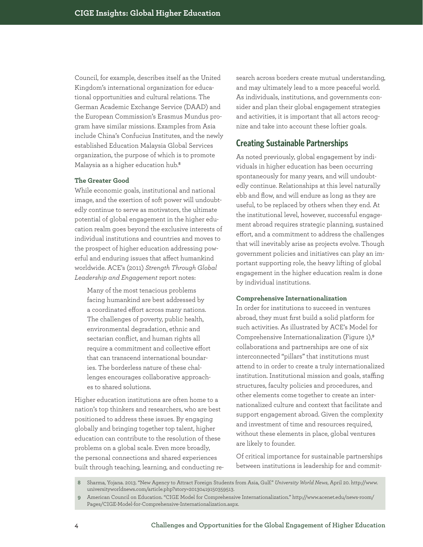Council, for example, describes itself as the United Kingdom's international organization for educational opportunities and cultural relations. The German Academic Exchange Service (DAAD) and the European Commission's Erasmus Mundus program have similar missions. Examples from Asia include China's Confucius Institutes, and the newly established Education Malaysia Global Services organization, the purpose of which is to promote Malaysia as a higher education hub.**<sup>8</sup>**

# **The Greater Good**

While economic goals, institutional and national image, and the exertion of soft power will undoubtedly continue to serve as motivators, the ultimate potential of global engagement in the higher education realm goes beyond the exclusive interests of individual institutions and countries and moves to the prospect of higher education addressing powerful and enduring issues that affect humankind worldwide. ACE's (2011) *Strength Through Global Leadership and Engagement* report notes:

Many of the most tenacious problems facing humankind are best addressed by a coordinated effort across many nations. The challenges of poverty, public health, environmental degradation, ethnic and sectarian conflict, and human rights all require a commitment and collective effort that can transcend international boundaries. The borderless nature of these challenges encourages collaborative approaches to shared solutions.

Higher education institutions are often home to a nation's top thinkers and researchers, who are best positioned to address these issues. By engaging globally and bringing together top talent, higher education can contribute to the resolution of these problems on a global scale. Even more broadly, the personal connections and shared experiences built through teaching, learning, and conducting re-

search across borders create mutual understanding, and may ultimately lead to a more peaceful world. As individuals, institutions, and governments consider and plan their global engagement strategies and activities, it is important that all actors recognize and take into account these loftier goals.

# **Creating Sustainable Partnerships**

As noted previously, global engagement by individuals in higher education has been occurring spontaneously for many years, and will undoubtedly continue. Relationships at this level naturally ebb and flow, and will endure as long as they are useful, to be replaced by others when they end. At the institutional level, however, successful engagement abroad requires strategic planning, sustained effort, and a commitment to address the challenges that will inevitably arise as projects evolve. Though government policies and initiatives can play an important supporting role, the heavy lifting of global engagement in the higher education realm is done by individual institutions.

### **Comprehensive Internationalization**

In order for institutions to succeed in ventures abroad, they must first build a solid platform for such activities. As illustrated by ACE's Model for Comprehensive Internationalization (Figure 1),**<sup>9</sup>** collaborations and partnerships are one of six interconnected "pillars" that institutions must attend to in order to create a truly internationalized institution. Institutional mission and goals, staffing structures, faculty policies and procedures, and other elements come together to create an internationalized culture and context that facilitate and support engagement abroad. Given the complexity and investment of time and resources required, without these elements in place, global ventures are likely to founder.

Of critical importance for sustainable partnerships between institutions is leadership for and commit-

**<sup>8</sup>** Sharma, Yojana. 2013. "New Agency to Attract Foreign Students from Asia, Gulf." *University World News*, April 20. http://www. universityworldnews.com/article.php?story=20130419150359513.

**<sup>9</sup>** American Council on Education. "CIGE Model for Comprehensive Internationalization." http://www.acenet.edu/news-room/ Pages/CIGE-Model-for-Comprehensive-Internationalization.aspx.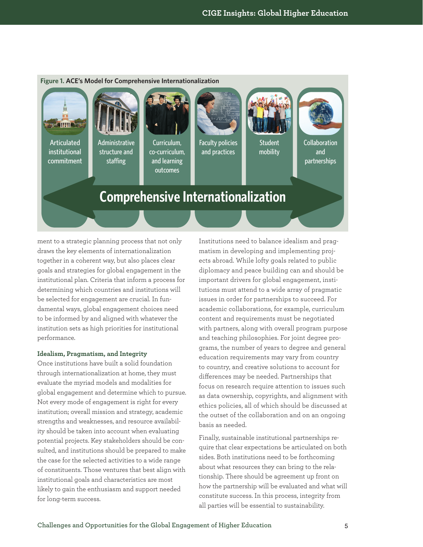

ment to a strategic planning process that not only draws the key elements of internationalization together in a coherent way, but also places clear goals and strategies for global engagement in the institutional plan. Criteria that inform a process for determining which countries and institutions will be selected for engagement are crucial. In fundamental ways, global engagement choices need to be informed by and aligned with whatever the institution sets as high priorities for institutional performance.

### **Idealism, Pragmatism, and Integrity**

Once institutions have built a solid foundation through internationalization at home, they must evaluate the myriad models and modalities for global engagement and determine which to pursue. Not every mode of engagement is right for every institution; overall mission and strategy, academic strengths and weaknesses, and resource availability should be taken into account when evaluating potential projects. Key stakeholders should be consulted, and institutions should be prepared to make the case for the selected activities to a wide range of constituents. Those ventures that best align with institutional goals and characteristics are most likely to gain the enthusiasm and support needed for long-term success.

Institutions need to balance idealism and pragmatism in developing and implementing projects abroad. While lofty goals related to public diplomacy and peace building can and should be important drivers for global engagement, institutions must attend to a wide array of pragmatic issues in order for partnerships to succeed. For academic collaborations, for example, curriculum content and requirements must be negotiated with partners, along with overall program purpose and teaching philosophies. For joint degree programs, the number of years to degree and general education requirements may vary from country to country, and creative solutions to account for differences may be needed. Partnerships that focus on research require attention to issues such as data ownership, copyrights, and alignment with ethics policies, all of which should be discussed at the outset of the collaboration and on an ongoing basis as needed.

Finally, sustainable institutional partnerships require that clear expectations be articulated on both sides. Both institutions need to be forthcoming about what resources they can bring to the relationship. There should be agreement up front on how the partnership will be evaluated and what will constitute success. In this process, integrity from all parties will be essential to sustainability.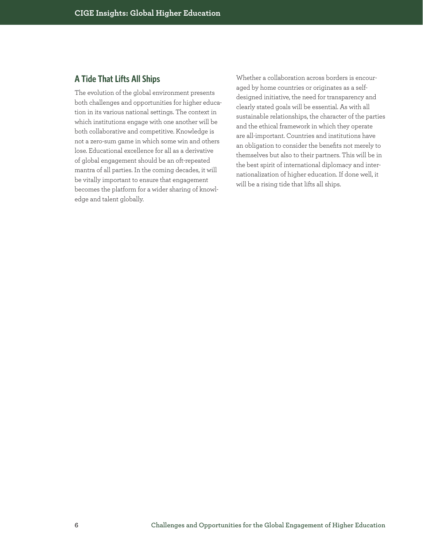# **A Tide That Lifts All Ships**

The evolution of the global environment presents both challenges and opportunities for higher education in its various national settings. The context in which institutions engage with one another will be both collaborative and competitive. Knowledge is not a zero-sum game in which some win and others lose. Educational excellence for all as a derivative of global engagement should be an oft-repeated mantra of all parties. In the coming decades, it will be vitally important to ensure that engagement becomes the platform for a wider sharing of knowledge and talent globally.

Whether a collaboration across borders is encouraged by home countries or originates as a selfdesigned initiative, the need for transparency and clearly stated goals will be essential. As with all sustainable relationships, the character of the parties and the ethical framework in which they operate are all-important. Countries and institutions have an obligation to consider the benefits not merely to themselves but also to their partners. This will be in the best spirit of international diplomacy and internationalization of higher education. If done well, it will be a rising tide that lifts all ships.